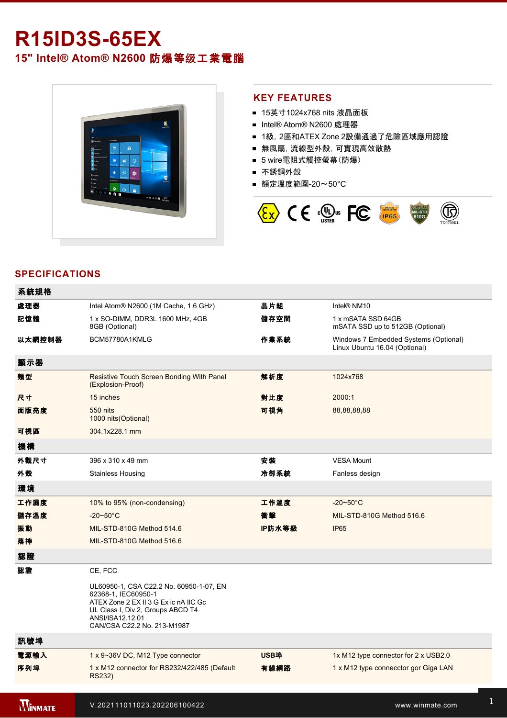# **R15ID3S-65EX**

**15" Intel® Atom® N2600** 防爆等级工業電腦



### **KEY FEATURES**

- 15英寸1024x768 nits 液晶面板
- Intel® Atom® N2600 處理器
- 1級, 2區和ATEX Zone 2設備通過了危險區域應用認證
- 無風扇,流線型外殼,可實現高效散熱
- 5 wire電阻式觸控螢幕(防爆)
- 不銹鋼外殼
- 額定溫度範圍-20~50°C



## **SPECIFICATIONS**

| 系統規格           |                                                                                                                                                                                                 |             |                                                                        |
|----------------|-------------------------------------------------------------------------------------------------------------------------------------------------------------------------------------------------|-------------|------------------------------------------------------------------------|
| 處理器            | Intel Atom® N2600 (1M Cache, 1.6 GHz)                                                                                                                                                           | 晶片組         | Intel <sup>®</sup> NM10                                                |
| 記憶體            | 1 x SO-DIMM, DDR3L 1600 MHz, 4GB<br>8GB (Optional)                                                                                                                                              | 儲存空間        | 1 x mSATA SSD 64GB<br>mSATA SSD up to 512GB (Optional)                 |
| 以太網控制器         | BCM57780A1KMLG                                                                                                                                                                                  | 作業系統        | Windows 7 Embedded Systems (Optional)<br>Linux Ubuntu 16.04 (Optional) |
| 顯示器            |                                                                                                                                                                                                 |             |                                                                        |
| 類型             | Resistive Touch Screen Bonding With Panel<br>(Explosion-Proof)                                                                                                                                  | 解析度         | 1024x768                                                               |
| 尺寸             | 15 inches                                                                                                                                                                                       | 對比度         | 2000:1                                                                 |
| 面版亮度           | 550 nits<br>1000 nits (Optional)                                                                                                                                                                | 可視角         | 88,88,88,88                                                            |
| 可視區            | 304.1x228.1 mm                                                                                                                                                                                  |             |                                                                        |
| 機構             |                                                                                                                                                                                                 |             |                                                                        |
| 外觀尺寸           | 396 x 310 x 49 mm                                                                                                                                                                               | 安裝          | <b>VESA Mount</b>                                                      |
| 外殼             | <b>Stainless Housing</b>                                                                                                                                                                        | 冷卻系統        | Fanless design                                                         |
| 環境             |                                                                                                                                                                                                 |             |                                                                        |
| 工作濕度           | 10% to 95% (non-condensing)                                                                                                                                                                     | 工作溫度        | $-20-50$ °C                                                            |
| 儲存溫度           | $-20 - 50^{\circ}$ C                                                                                                                                                                            | 衝擊          | MIL-STD-810G Method 516.6                                              |
| 振動             | MIL-STD-810G Method 514.6                                                                                                                                                                       | IP防水等級      | <b>IP65</b>                                                            |
| 落摔             | MIL-STD-810G Method 516.6                                                                                                                                                                       |             |                                                                        |
| 認證             |                                                                                                                                                                                                 |             |                                                                        |
| 認證             | CE, FCC                                                                                                                                                                                         |             |                                                                        |
|                | UL60950-1, CSA C22.2 No. 60950-1-07, EN<br>62368-1, IEC60950-1<br>ATEX Zone 2 EX II 3 G Ex ic nA IIC Gc<br>UL Class I, Div.2, Groups ABCD T4<br>ANSI/ISA12.12.01<br>CAN/CSA C22.2 No. 213-M1987 |             |                                                                        |
| 訊號埠            |                                                                                                                                                                                                 |             |                                                                        |
| 電源輸入           | 1 x 9~36V DC, M12 Type connector                                                                                                                                                                | <b>USB埠</b> | 1x M12 type connector for 2 x USB2.0                                   |
| 序列埠            | 1 x M12 connector for RS232/422/485 (Default<br>RS232)                                                                                                                                          | 有線網路        | 1 x M12 type connecctor gor Giga LAN                                   |
|                |                                                                                                                                                                                                 |             |                                                                        |
| <b>WINMATE</b> | V.202111011023.202206100422                                                                                                                                                                     |             | www.winmate.com                                                        |